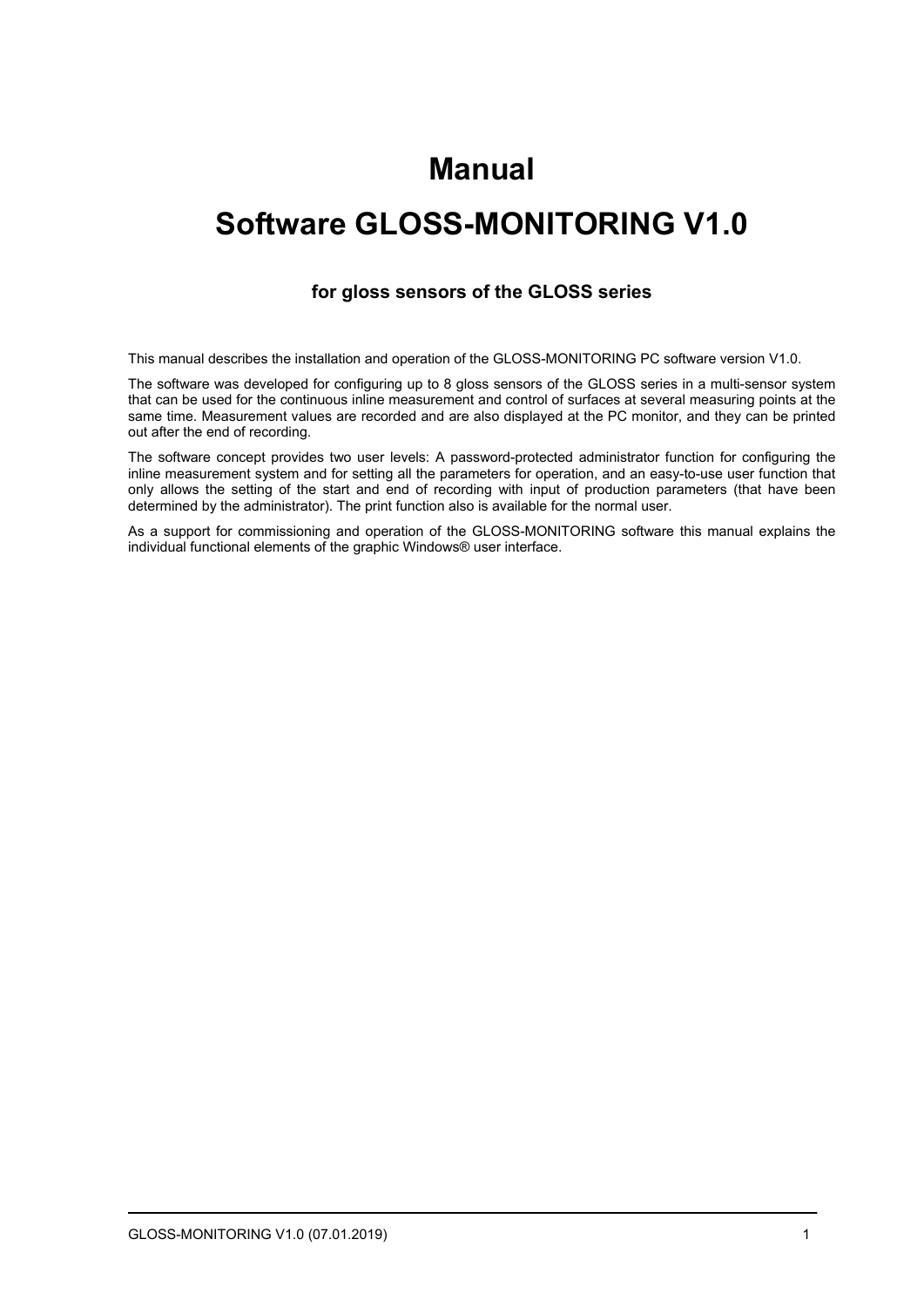# **Manual**

# **Software GLOSS-MONITORING V1.0**

### **for gloss sensors of the GLOSS series**

This manual describes the installation and operation of the GLOSS-MONITORING PC software version V1.0.

The software was developed for configuring up to 8 gloss sensors of the GLOSS series in a multi-sensor system that can be used for the continuous inline measurement and control of surfaces at several measuring points at the same time. Measurement values are recorded and are also displayed at the PC monitor, and they can be printed out after the end of recording.

The software concept provides two user levels: A password-protected administrator function for configuring the inline measurement system and for setting all the parameters for operation, and an easy-to-use user function that only allows the setting of the start and end of recording with input of production parameters (that have been determined by the administrator). The print function also is available for the normal user.

As a support for commissioning and operation of the GLOSS-MONITORING software this manual explains the individual functional elements of the graphic Windows® user interface.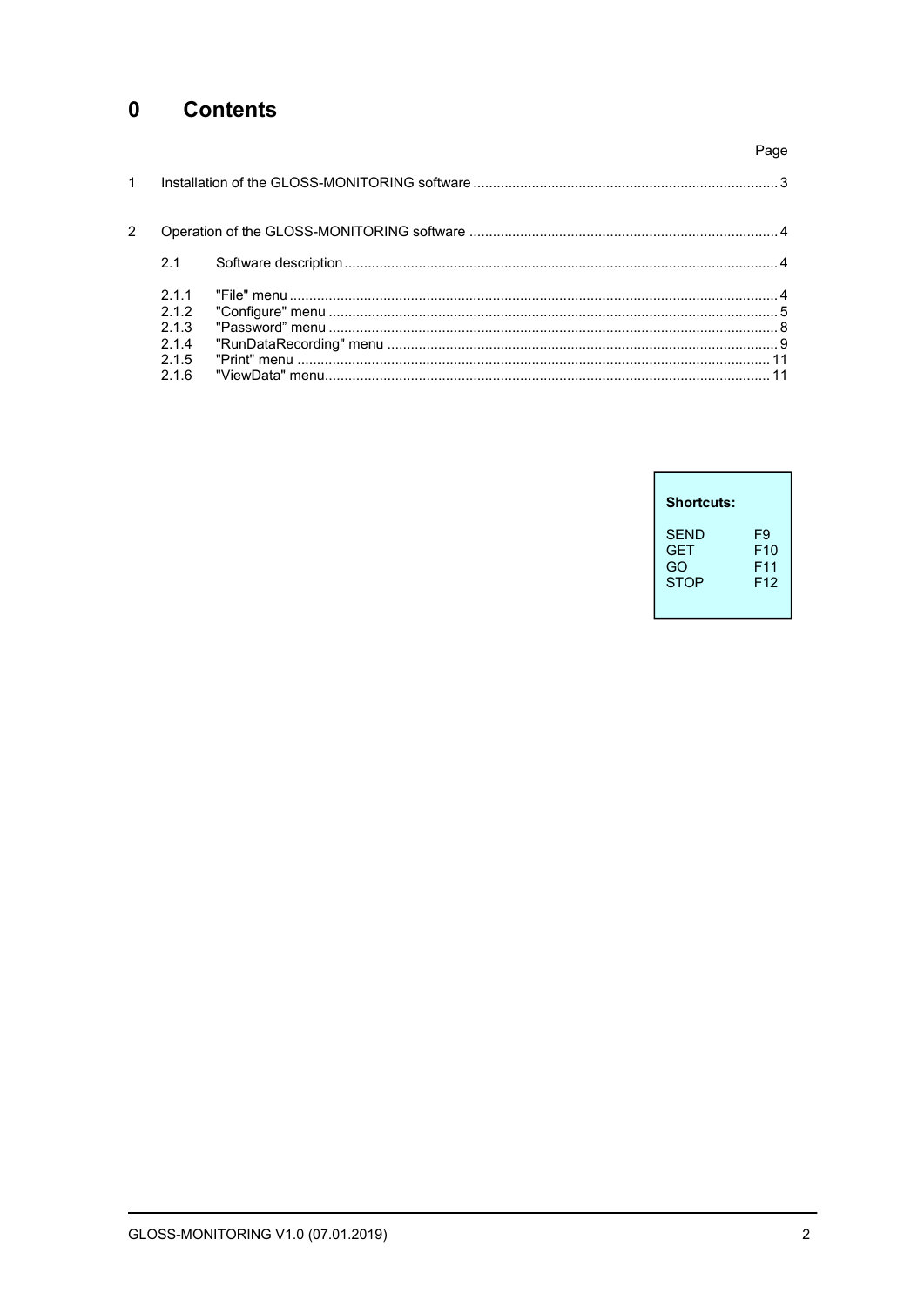#### $\mathbf 0$ **Contents**

|             |                                   | Page |
|-------------|-----------------------------------|------|
| $\mathbf 1$ |                                   |      |
| 2           |                                   |      |
|             | 2.1                               |      |
|             | 211<br>2.1.2<br>213<br>214<br>215 |      |
|             | 216                               |      |

| Shortcuts:  |                 |
|-------------|-----------------|
| <b>SFND</b> | F9              |
| <b>GFT</b>  | F10             |
| GO          | F11             |
| <b>STOP</b> | F <sub>12</sub> |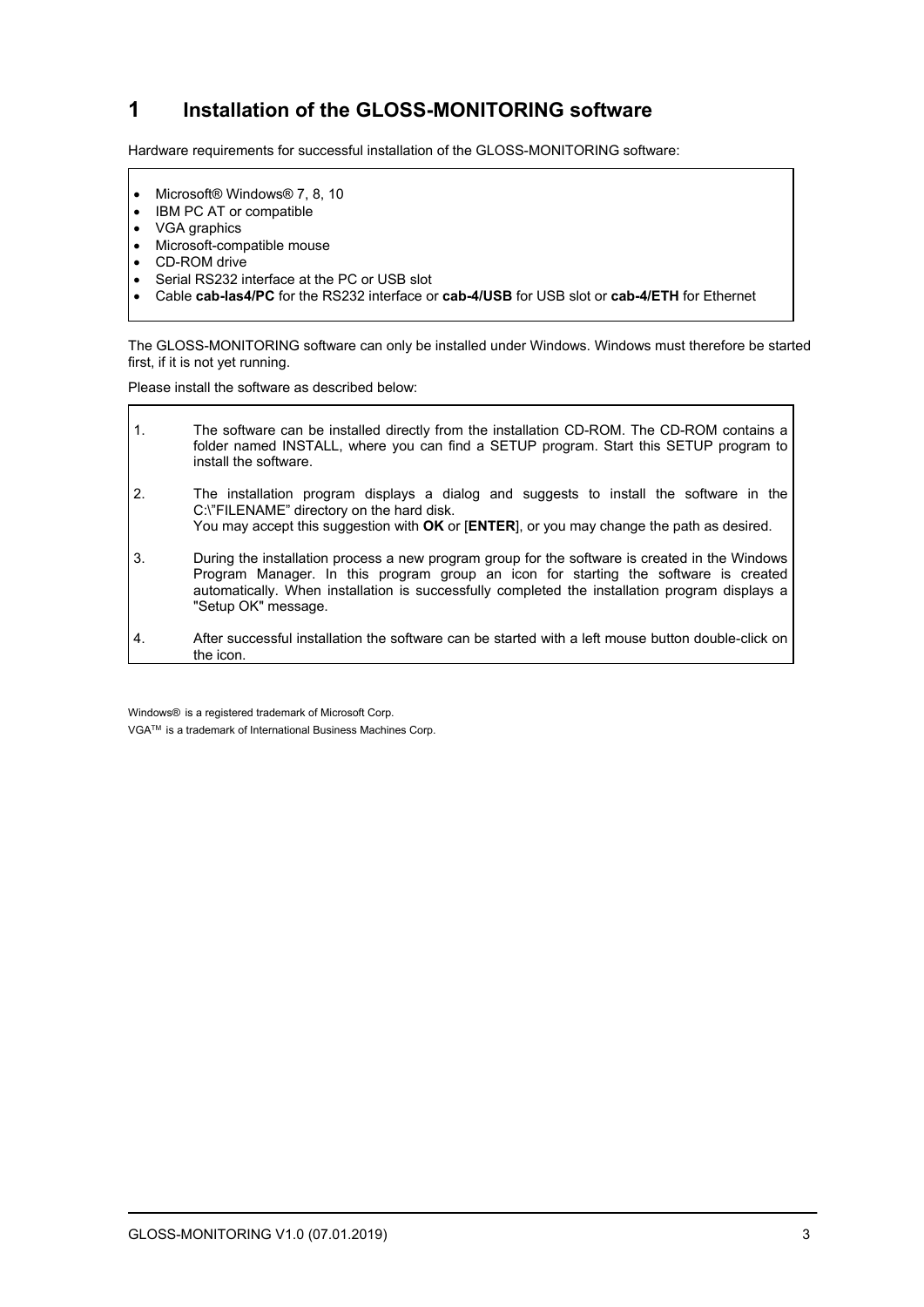# **1 Installation of the GLOSS-MONITORING software**

Hardware requirements for successful installation of the GLOSS-MONITORING software:

- Microsoft® Windows® 7, 8, 10
- IBM PC AT or compatible
- VGA graphics
- Microsoft-compatible mouse
- CD-ROM drive
- Serial RS232 interface at the PC or USB slot
- Cable **cab-las4/PC** for the RS232 interface or **cab-4/USB** for USB slot or **cab-4/ETH** for Ethernet

The GLOSS-MONITORING software can only be installed under Windows. Windows must therefore be started first, if it is not yet running.

Please install the software as described below:

| $\mathbf{1}$ .   | The software can be installed directly from the installation CD-ROM. The CD-ROM contains a<br>folder named INSTALL, where you can find a SETUP program. Start this SETUP program to<br>install the software.                                                                                                   |
|------------------|----------------------------------------------------------------------------------------------------------------------------------------------------------------------------------------------------------------------------------------------------------------------------------------------------------------|
| $\overline{2}$ . | The installation program displays a dialog and suggests to install the software in the<br>C:\"FILENAME" directory on the hard disk.<br>You may accept this suggestion with OK or [ENTER], or you may change the path as desired.                                                                               |
| 3.               | During the installation process a new program group for the software is created in the Windows<br>Program Manager. In this program group an icon for starting the software is created<br>automatically. When installation is successfully completed the installation program displays a<br>"Setup OK" message. |
| 4.               | After successful installation the software can be started with a left mouse button double-click on<br>the icon.                                                                                                                                                                                                |

Windows® is a registered trademark of Microsoft Corp.

VGATM is a trademark of International Business Machines Corp.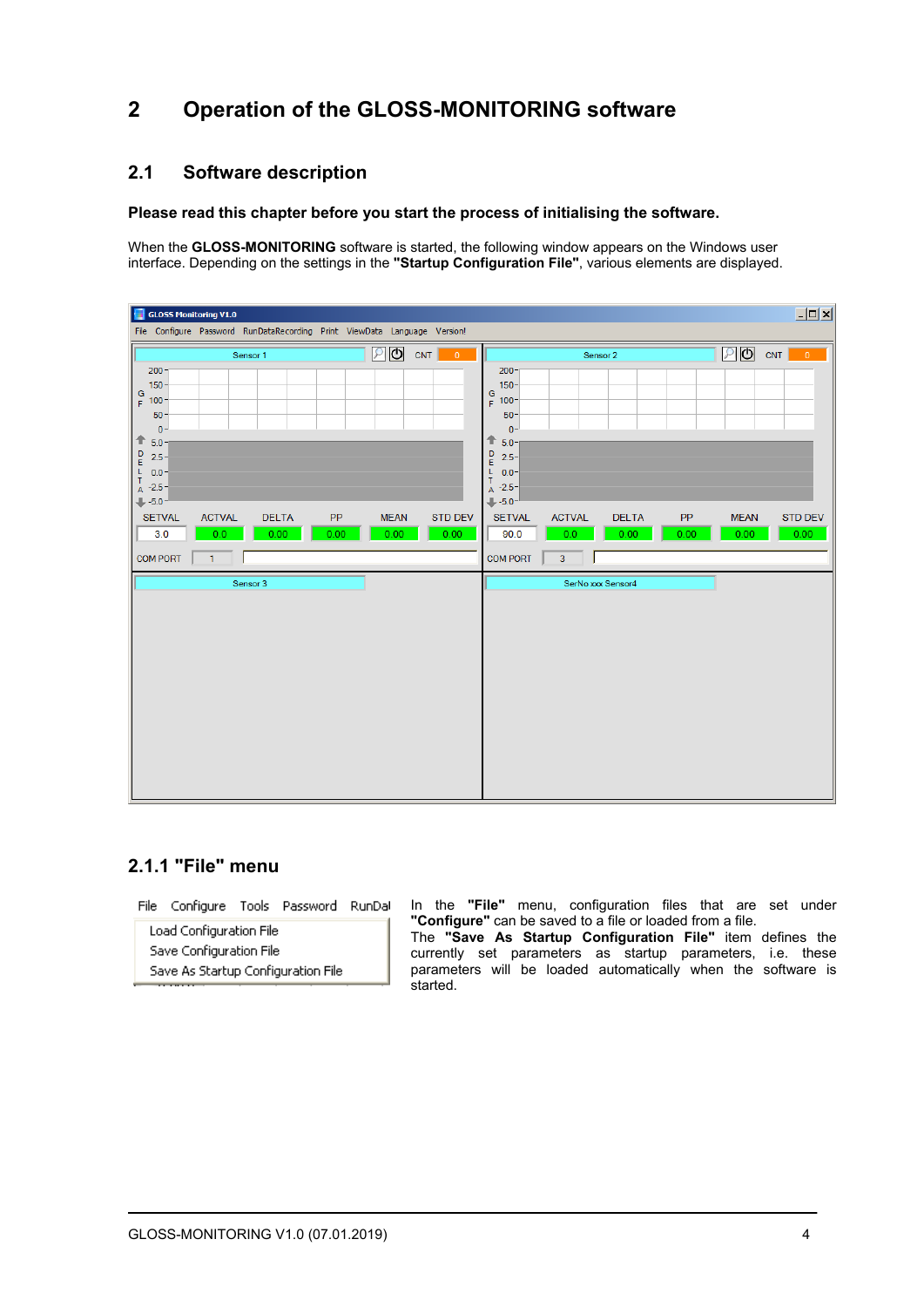# **2 Operation of the GLOSS-MONITORING software**

### **2.1 Software description**

#### **Please read this chapter before you start the process of initialising the software.**

When the **GLOSS-MONITORING** software is started, the following window appears on the Windows user interface. Depending on the settings in the **"Startup Configuration File"**, various elements are displayed.

| GLOSS Monitoring V1.0<br>File Configure Password RunDataRecording Print ViewData Language Version!                                                                                                                                                                                                                                             | $\Box$                                                                                                                                                                                                                                                                                                        |
|------------------------------------------------------------------------------------------------------------------------------------------------------------------------------------------------------------------------------------------------------------------------------------------------------------------------------------------------|---------------------------------------------------------------------------------------------------------------------------------------------------------------------------------------------------------------------------------------------------------------------------------------------------------------|
| உடு<br>CNT<br>$\blacksquare$<br>Sensor 1                                                                                                                                                                                                                                                                                                       | $\n  D$ CNT<br>$\overline{\phantom{0}}$<br>Sensor 2                                                                                                                                                                                                                                                           |
| $200 -$<br>$150 -$<br>$rac{G}{F}$ 100-<br>$50 -$<br>$0 -$<br>$+ 5.0 -$<br>$\begin{array}{c} \mathsf{D} \\ \mathsf{E} \end{array}$<br>$2.5 -$<br>$\frac{L}{T}$ 0.0-<br>$A -2.5$<br>$+5.0 -$<br><b>SETVAL</b><br><b>ACTVAL</b><br><b>DELTA</b><br>PP<br><b>MEAN</b><br><b>STD DEV</b><br>3.0<br>0.00<br>0.00<br>0.00<br>0.00<br>0.0 <sub>1</sub> | $200 -$<br>150 <sub>1</sub><br>$rac{G}{F}$ 100-<br>$50 -$<br>$0 -$<br>⇑<br>$5.0 -$<br>$\frac{D}{E}$<br>$2.5 -$<br>L.<br>$0.0 -$<br>$\mathsf T$<br>$A -2.5$<br>$+5.0-$<br><b>ACTVAL</b><br><b>DELTA</b><br><b>STD DEV</b><br><b>SETVAL</b><br>PP<br><b>MEAN</b><br>0.00<br>0.00<br>90.0<br>0.00<br>0.00<br>0.0 |
| <b>COM PORT</b><br>$\mathbf{1}$                                                                                                                                                                                                                                                                                                                | <b>COM PORT</b><br>3 <sup>7</sup>                                                                                                                                                                                                                                                                             |
| Sensor 3                                                                                                                                                                                                                                                                                                                                       | SerNo xxx Sensor4                                                                                                                                                                                                                                                                                             |

### **2.1.1 "File" menu**

File Configure Tools Password RunDal

Load Configuration File Save Configuration File Save As Startup Configuration File In the **"File"** menu, configuration files that are set under **"Configure"** can be saved to a file or loaded from a file. The **"Save As Startup Configuration File"** item defines the currently set parameters as startup parameters, i.e. these parameters will be loaded automatically when the software is started.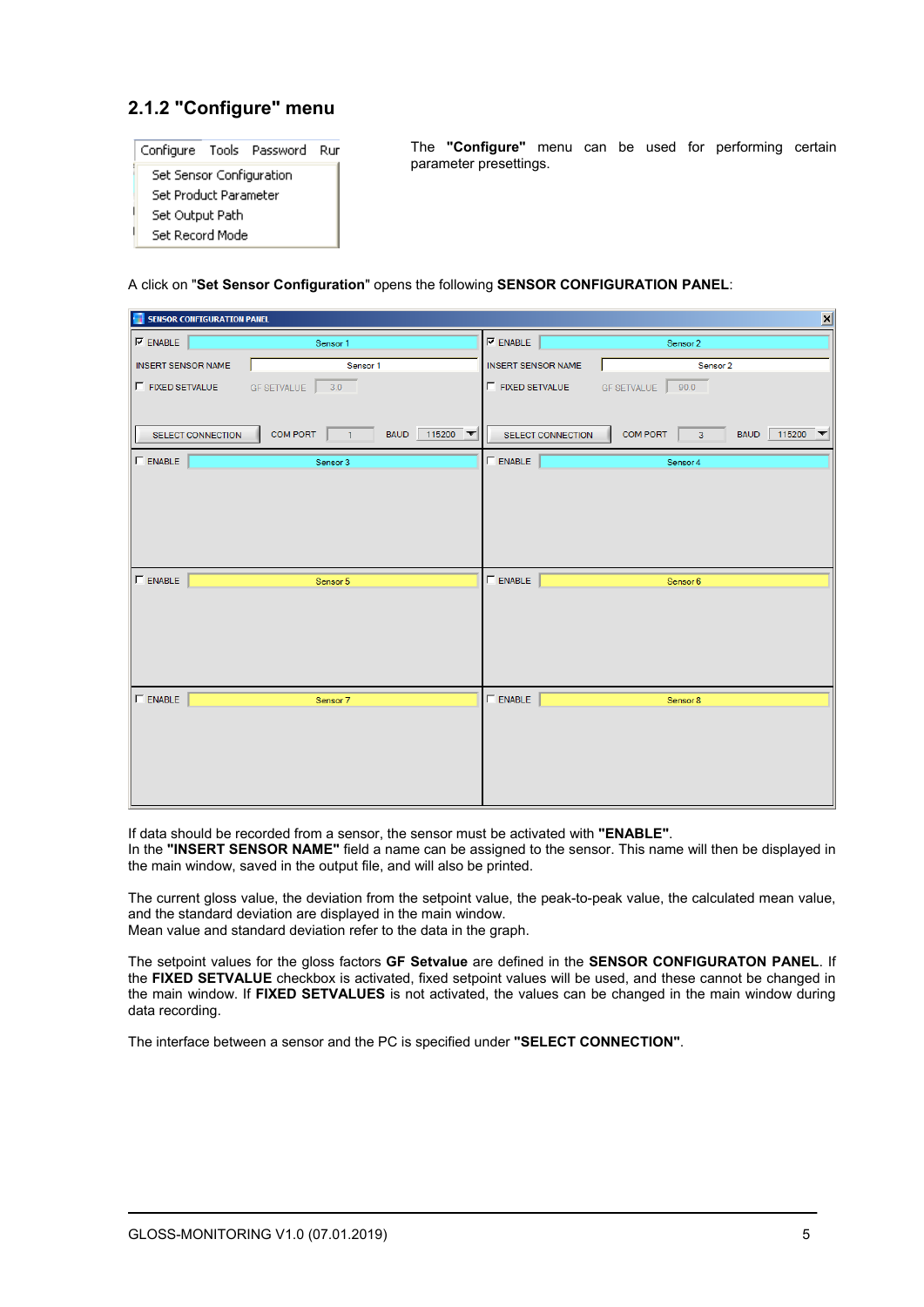# **2.1.2 "Configure" menu**



The **"Configure"** menu can be used for performing certain parameter presettings.

#### A click on "**Set Sensor Configuration**" opens the following **SENSOR CONFIGURATION PANEL**:

| SENSOR CONFIGURATION PANEL |                                                                       |                           | $\overline{\mathbf{x}}$                                    |
|----------------------------|-----------------------------------------------------------------------|---------------------------|------------------------------------------------------------|
| $\nabla$ ENABLE            | Sensor 1                                                              | $\nabla$ enable           | Sensor 2                                                   |
| <b>INSERT SENSOR NAME</b>  | Sensor 1                                                              | <b>INSERT SENSOR NAME</b> | Sensor 2                                                   |
| F FIXED SETVALUE           | GF SETVALUE<br>3.0                                                    | $\Gamma$ FIXED SETVALUE   | <b>GF SETVALUE</b><br>90.0                                 |
| SELECT CONNECTION          | 115200 $\blacktriangledown$<br><b>COM PORT</b><br><b>BAUD</b><br>$-1$ | SELECT CONNECTION         | <b>COM PORT</b><br>115200<br>$\overline{3}$<br><b>BAUD</b> |
| $\Gamma$ ENABLE            | Sensor 3                                                              | $\Gamma$ ENABLE           | Sensor 4                                                   |
|                            |                                                                       |                           |                                                            |
| $\Gamma$ ENABLE            | Sensor 5                                                              | $\Gamma$ ENABLE           | Sensor 6                                                   |
|                            |                                                                       |                           |                                                            |
| $\Gamma$ ENABLE            | Sensor 7                                                              | $\Gamma$ ENABLE           | Sensor 8                                                   |
|                            |                                                                       |                           |                                                            |

If data should be recorded from a sensor, the sensor must be activated with **"ENABLE"**. In the **"INSERT SENSOR NAME"** field a name can be assigned to the sensor. This name will then be displayed in the main window, saved in the output file, and will also be printed.

The current gloss value, the deviation from the setpoint value, the peak-to-peak value, the calculated mean value, and the standard deviation are displayed in the main window. Mean value and standard deviation refer to the data in the graph.

The setpoint values for the gloss factors **GF Setvalue** are defined in the **SENSOR CONFIGURATON PANEL**. If the **FIXED SETVALUE** checkbox is activated, fixed setpoint values will be used, and these cannot be changed in the main window. If **FIXED SETVALUES** is not activated, the values can be changed in the main window during data recording.

The interface between a sensor and the PC is specified under **"SELECT CONNECTION"**.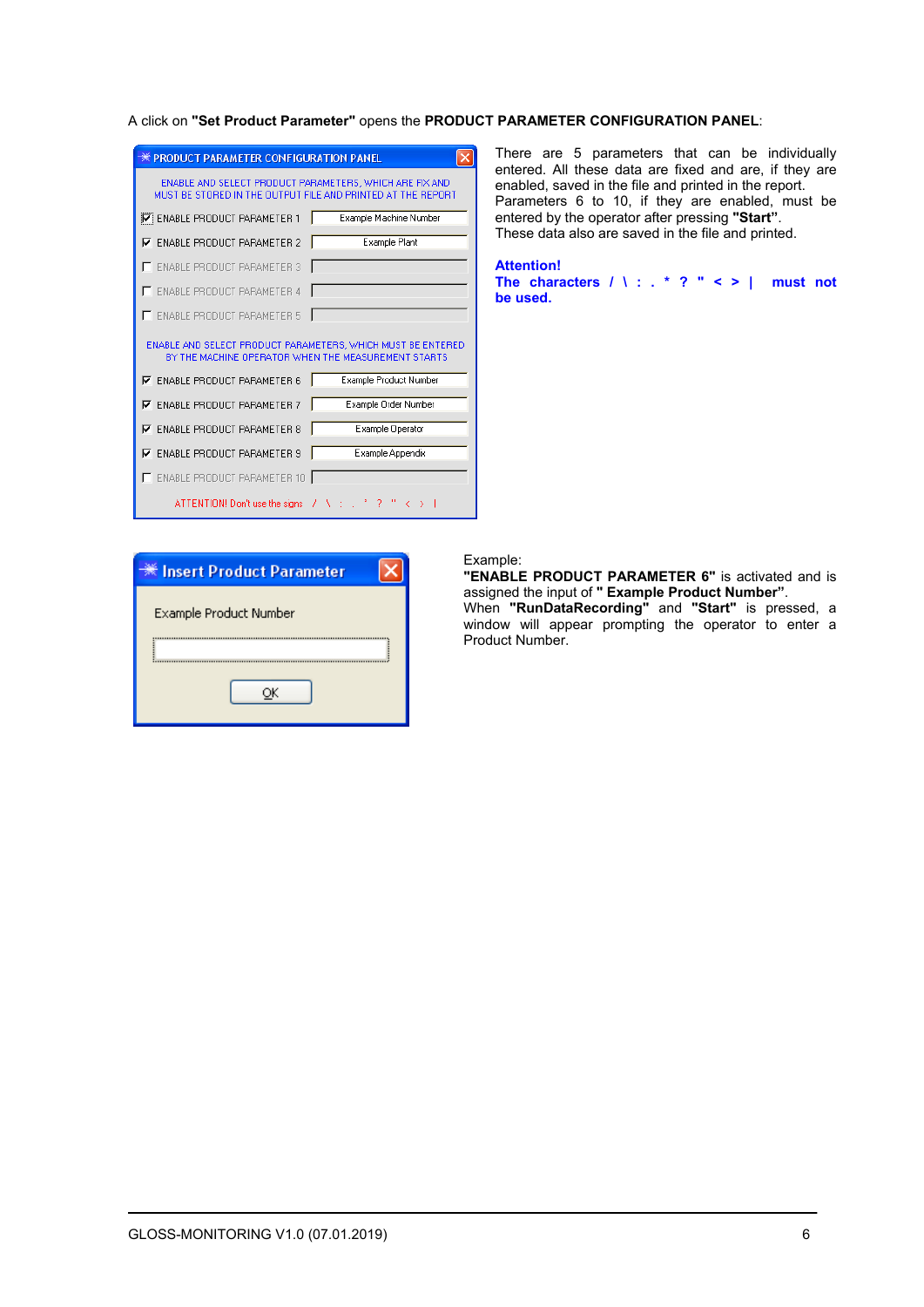#### A click on **"Set Product Parameter"** opens the **PRODUCT PARAMETER CONFIGURATION PANEL**:

| <b>PRODUCT PARAMETER CONFIGURATION PANEL</b>                                                                           |                        |  |
|------------------------------------------------------------------------------------------------------------------------|------------------------|--|
| ENABLE AND SELECT PRODUCT PARAMETERS, WHICH ARE FIX AND<br>MUST BE STORED IN THE OUTPUT FILE AND PRINTED AT THE REPORT |                        |  |
| <b>V</b> ENABLE PRODUCT PARAMETER 1                                                                                    | Example Machine Number |  |
| $\nabla$ ENABLE PRODUCT PARAMETER 2                                                                                    | <b>Example Plant</b>   |  |
| <b>ENABLE PRODUCT PARAMETER 3</b>                                                                                      |                        |  |
| <b>ENABLE PRODUCT PARAMETER 4</b>                                                                                      |                        |  |
| <b>ENABLE PRODUCT PARAMETER 5</b>                                                                                      |                        |  |
| ENABLE AND SELECT PRODUCT PARAMETERS. WHICH MUST BE ENTERED<br>BY THE MACHINE OPERATOR WHEN THE MEASUREMENT STARTS     |                        |  |
| $\nabla$ ENABLE PRODUCT PARAMETER 6                                                                                    | Example Product Number |  |
| $\nabla$ ENABLE PRODUCT PARAMETER 7                                                                                    | Example Order Number   |  |
| $\nabla$ ENABLE PRODUCT PARAMETER 8                                                                                    | Example Operator       |  |
| <b>ENABLE PRODUCT PARAMETER 9</b><br>⊽                                                                                 | Example Appendix       |  |
| <b>ENABLE PRODUCT PARAMETER 10</b>                                                                                     |                        |  |
| ATTENTION! Don't use the signs / \ :                                                                                   |                        |  |

There are 5 parameters that can be individually entered. All these data are fixed and are, if they are enabled, saved in the file and printed in the report. Parameters 6 to 10, if they are enabled, must be entered by the operator after pressing **"Start"**. These data also are saved in the file and printed.

**Attention!** 

**The characters / \ : . \* ? " < > | must not be used.**

| ☀ Insert Product Parameter |
|----------------------------|
| Example Product Number     |
|                            |
|                            |
|                            |
|                            |

#### Example:

**"ENABLE PRODUCT PARAMETER 6"** is activated and is assigned the input of **" Example Product Number"**. When **"RunDataRecording"** and **"Start"** is pressed, a

window will appear prompting the operator to enter a Product Number.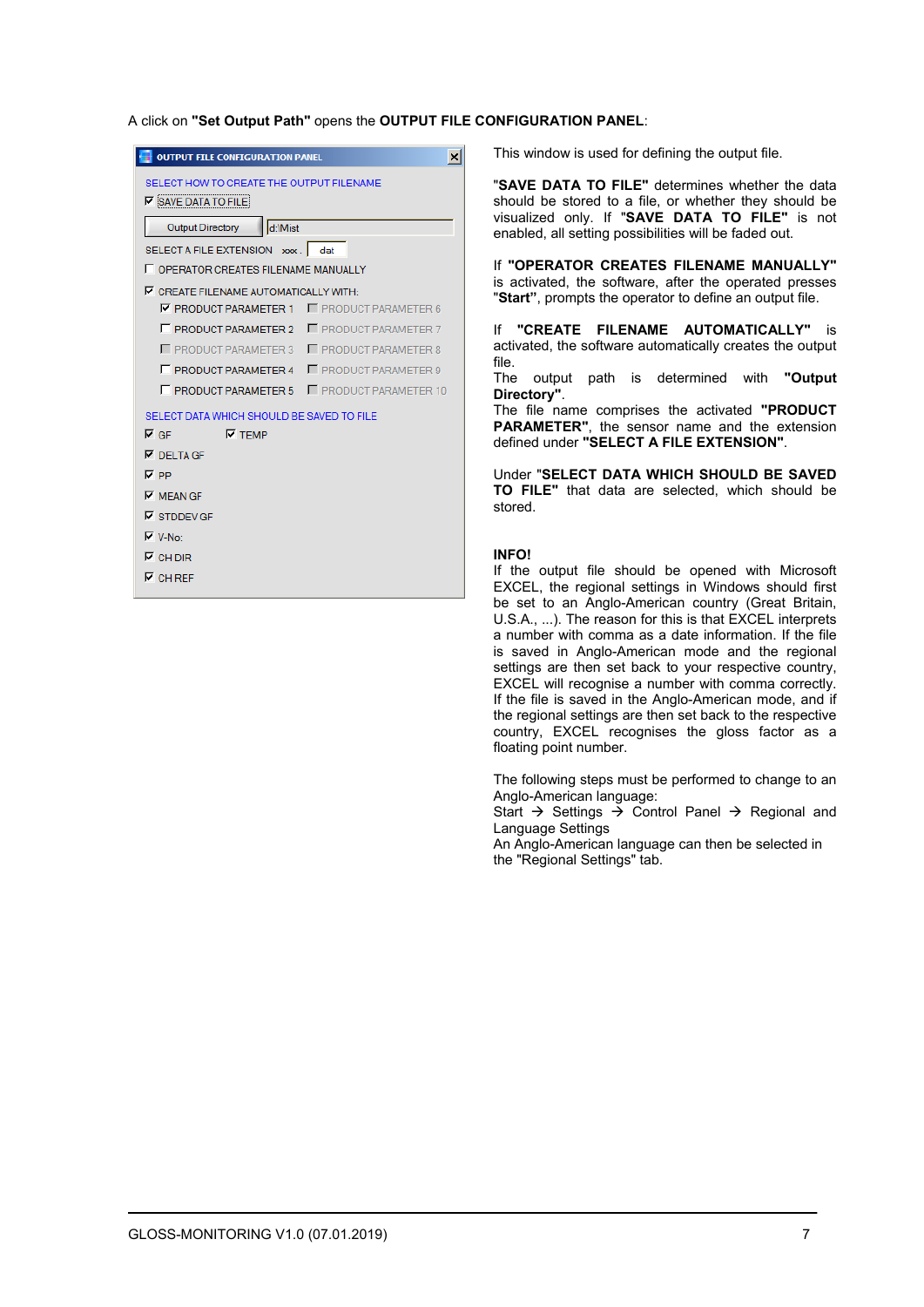A click on **"Set Output Path"** opens the **OUTPUT FILE CONFIGURATION PANEL**:

| <b>OUTPUT FILE CONFIGURATION PANEL</b>                                 | ×                            |  |  |
|------------------------------------------------------------------------|------------------------------|--|--|
| SELECT HOW TO CREATE THE OUTPUT FILENAME<br>$\nabla$ SAVE DATA TO FILE |                              |  |  |
| d:\Mist<br><b>Output Directory</b>                                     |                              |  |  |
| SELECT A FILE EXTENSION xxx.                                           | dat                          |  |  |
| <b>F</b> OPFRATOR CREATES FILENAME MANUALLY                            |                              |  |  |
| <b>V CREATE FILENAME AUTOMATICALLY WITH:</b>                           |                              |  |  |
| <b>V PRODUCT PARAMETER 1</b>                                           | <b>F</b> PRODUCT PARAMETER 6 |  |  |
| <b>F</b> PRODUCT PARAMETER 2<br><b>F</b> PRODUCT PARAMETER 7           |                              |  |  |
| PRODUCT PARAMETER 3<br><b>F</b> PRODUCT PARAMETER 8                    |                              |  |  |
| <b>F</b> PRODUCT PARAMETER 4<br><b>F</b> PRODUCT PARAMETER 9           |                              |  |  |
| <b>F PRODUCT PARAMETER 5 F PRODUCT PARAMETER 10</b>                    |                              |  |  |
| SELECT DATA WHICH SHOULD BE SAVED TO FILE                              |                              |  |  |
| $\nabla$ TEMP<br>l⊽ GF                                                 |                              |  |  |
| $\overline{M}$ DELTAGE                                                 |                              |  |  |
| <b>⊽</b> PP                                                            |                              |  |  |
| $\nabla$ MEAN GF                                                       |                              |  |  |
| $\nabla$ STDDEV GF                                                     |                              |  |  |
| $\nabla$ V-No:                                                         |                              |  |  |
| $\nabla$ CH DIR                                                        |                              |  |  |
| $\nabla$ CH RFF                                                        |                              |  |  |
|                                                                        |                              |  |  |

This window is used for defining the output file.

"**SAVE DATA TO FILE"** determines whether the data should be stored to a file, or whether they should be visualized only. If "**SAVE DATA TO FILE"** is not enabled, all setting possibilities will be faded out.

If **"OPERATOR CREATES FILENAME MANUALLY"** is activated, the software, after the operated presses "**Start"**, prompts the operator to define an output file.

If **"CREATE FILENAME AUTOMATICALLY"** is activated, the software automatically creates the output file.

The output path is determined with **"Output Directory"**.

The file name comprises the activated **"PRODUCT PARAMETER"**, the sensor name and the extension defined under **"SELECT A FILE EXTENSION"**.

Under "**SELECT DATA WHICH SHOULD BE SAVED TO FILE"** that data are selected, which should be stored.

#### **INFO!**

If the output file should be opened with Microsoft EXCEL, the regional settings in Windows should first be set to an Anglo-American country (Great Britain, U.S.A., ...). The reason for this is that EXCEL interprets a number with comma as a date information. If the file is saved in Anglo-American mode and the regional settings are then set back to your respective country, EXCEL will recognise a number with comma correctly. If the file is saved in the Anglo-American mode, and if the regional settings are then set back to the respective country, EXCEL recognises the gloss factor as a floating point number.

The following steps must be performed to change to an Anglo-American language:

Start  $\rightarrow$  Settings  $\rightarrow$  Control Panel  $\rightarrow$  Regional and Language Settings

An Anglo-American language can then be selected in the "Regional Settings" tab.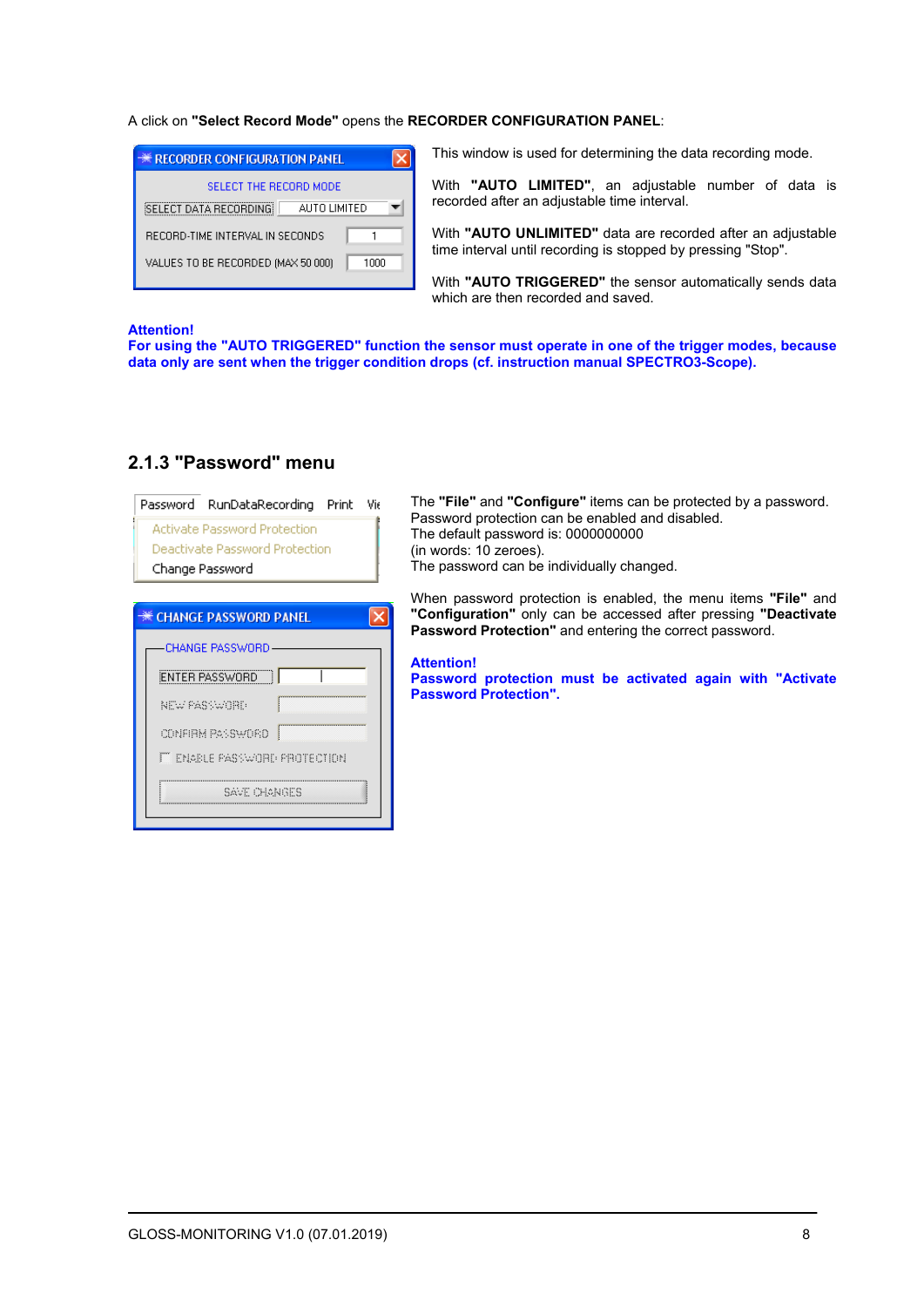#### A click on **"Select Record Mode"** opens the **RECORDER CONFIGURATION PANEL**:

| <b>** RECORDER CONFIGURATION PANEL</b>        |
|-----------------------------------------------|
| SELECT THE BECOBD MODE                        |
| <b>SELECT DATA RECORDING</b><br>ALITO LIMITED |
| RECORD-TIME INTERVAL IN SECONDS               |
| VALUES TO BE RECORDED (MAX 50 000)<br>1000    |

This window is used for determining the data recording mode.

With **"AUTO LIMITED"**, an adjustable number of data is recorded after an adjustable time interval.

With **"AUTO UNLIMITED"** data are recorded after an adjustable time interval until recording is stopped by pressing "Stop".

With **"AUTO TRIGGERED"** the sensor automatically sends data which are then recorded and saved.

#### **Attention!**

**For using the "AUTO TRIGGERED" function the sensor must operate in one of the trigger modes, because data only are sent when the trigger condition drops (cf. instruction manual SPECTRO3-Scope).**

| RunDataRecording<br>Password     | Print | Vir |
|----------------------------------|-------|-----|
| Activate Password Protection     |       |     |
| Deactivate Password Protection   |       |     |
| Change Password                  |       |     |
|                                  |       |     |
| <b>EXECUTANGE PASSWORD PANEL</b> |       |     |
| -CHANGE PASSWORD                 |       |     |
| ENTER PASSWORD                   |       |     |
| NEW PASSWORD                     |       |     |
| Į<br>CONFIRM PASSWORD            |       |     |
| IT ENABLE PASSWORD PROTECTION    |       |     |
| SAVE CHANGES                     |       |     |
|                                  |       |     |

## **2.1.3 "Password" menu**

The **"File"** and **"Configure"** items can be protected by a password. Password protection can be enabled and disabled. The default password is: 0000000000 (in words: 10 zeroes). The password can be individually changed.

When password protection is enabled, the menu items **"File"** and **"Configuration"** only can be accessed after pressing **"Deactivate Password Protection"** and entering the correct password.

#### **Attention!**

**Password protection must be activated again with "Activate Password Protection".**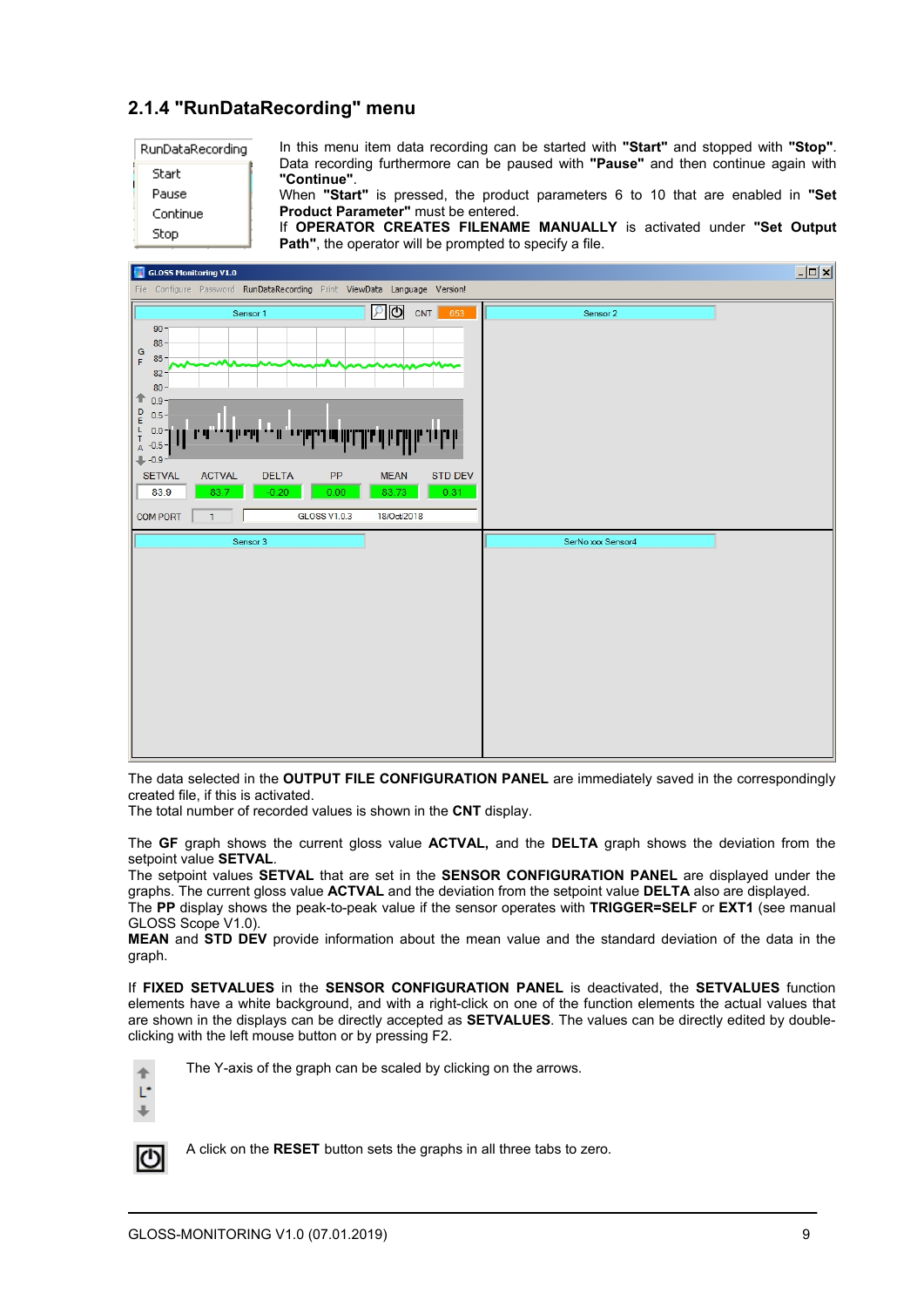## **2.1.4 "RunDataRecording" menu**

| RunDataRecording |
|------------------|
| Start            |
| Pause            |
| Continue         |
| Ston             |

In this menu item data recording can be started with **"Start"** and stopped with **"Stop"**. Data recording furthermore can be paused with **"Pause"** and then continue again with **"Continue"**.

When **"Start"** is pressed, the product parameters 6 to 10 that are enabled in **"Set Product Parameter"** must be entered.

If **OPERATOR CREATES FILENAME MANUALLY** is activated under **"Set Output Path"**, the operator will be prompted to specify a file.



The data selected in the **OUTPUT FILE CONFIGURATION PANEL** are immediately saved in the correspondingly created file, if this is activated.

The total number of recorded values is shown in the **CNT** display.

The **GF** graph shows the current gloss value **ACTVAL,** and the **DELTA** graph shows the deviation from the setpoint value **SETVAL**.

The setpoint values **SETVAL** that are set in the **SENSOR CONFIGURATION PANEL** are displayed under the graphs. The current gloss value **ACTVAL** and the deviation from the setpoint value **DELTA** also are displayed. The **PP** display shows the peak-to-peak value if the sensor operates with **TRIGGER=SELF** or **EXT1** (see manual

GLOSS Scope V1.0).

**MEAN** and **STD DEV** provide information about the mean value and the standard deviation of the data in the graph.

If **FIXED SETVALUES** in the **SENSOR CONFIGURATION PANEL** is deactivated, the **SETVALUES** function elements have a white background, and with a right-click on one of the function elements the actual values that are shown in the displays can be directly accepted as **SETVALUES**. The values can be directly edited by doubleclicking with the left mouse button or by pressing F2.

 $\triangle$ Ľ.



A click on the **RESET** button sets the graphs in all three tabs to zero.

The Y-axis of the graph can be scaled by clicking on the arrows.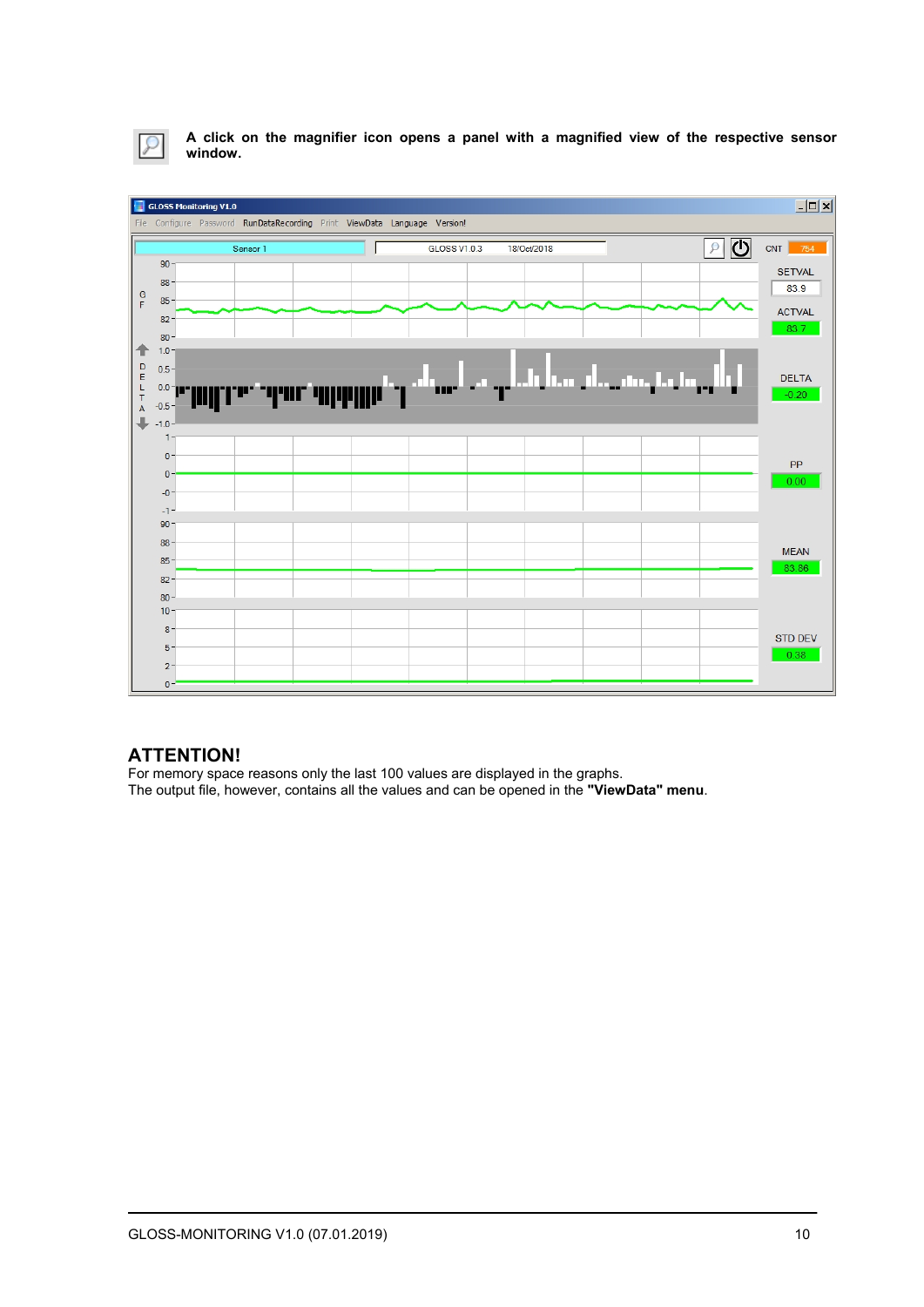

**A click on the magnifier icon opens a panel with a magnified view of the respective sensor window.** 



## **ATTENTION!**

For memory space reasons only the last 100 values are displayed in the graphs. The output file, however, contains all the values and can be opened in the **"ViewData" menu**.